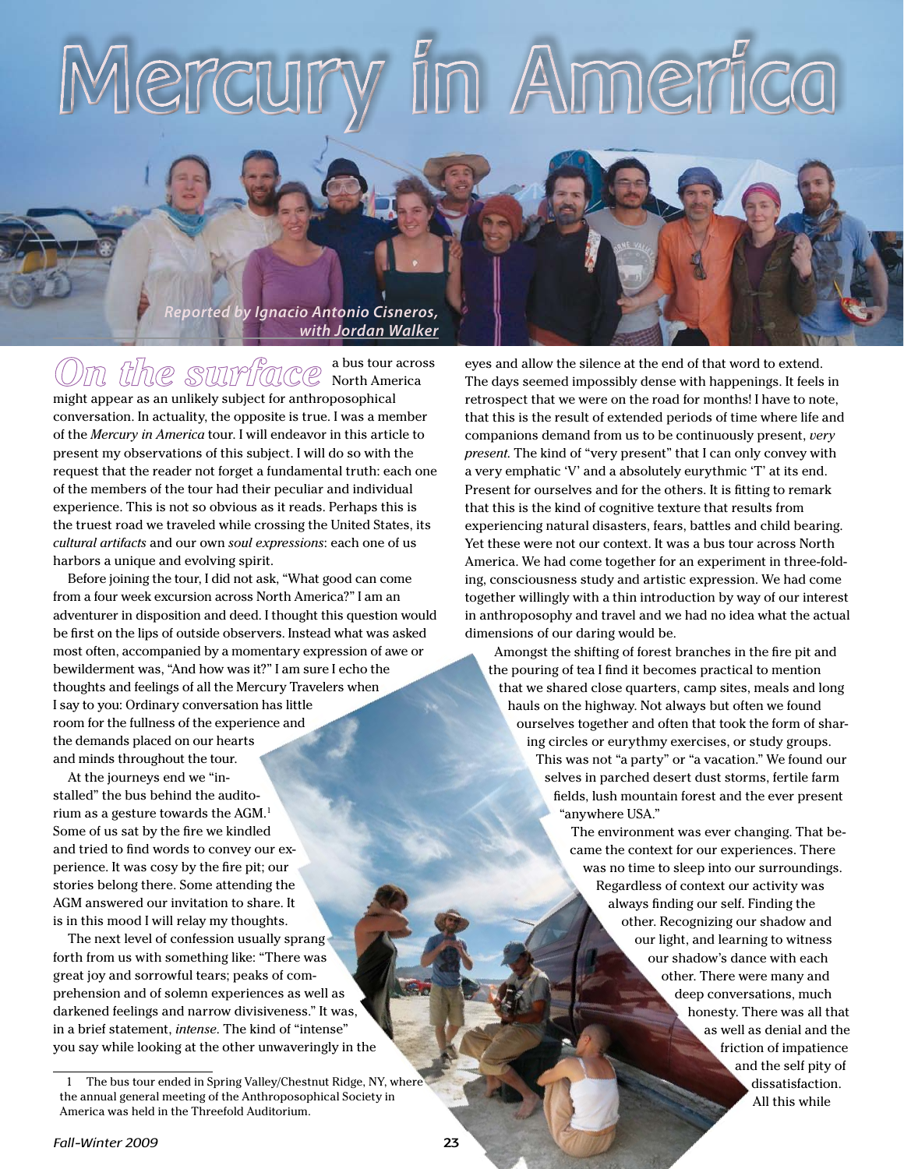# 1 Americ

*Reported by Ignacio Antonio Cisneros, with Jordan Walker*

a bus tour across

North America might appear as an unlikely subject for anthroposophical conversation. In actuality, the opposite is true. I was a member of the *Mercury in America* tour. I will endeavor in this article to present my observations of this subject. I will do so with the request that the reader not forget a fundamental truth: each one of the members of the tour had their peculiar and individual experience. This is not so obvious as it reads. Perhaps this is the truest road we traveled while crossing the United States, its *cultural artifacts* and our own *soul expressions*: each one of us harbors a unique and evolving spirit.

Before joining the tour, I did not ask, "What good can come from a four week excursion across North America?" I am an adventurer in disposition and deed. I thought this question would be first on the lips of outside observers. Instead what was asked most often, accompanied by a momentary expression of awe or bewilderment was, "And how was it?" I am sure I echo the thoughts and feelings of all the Mercury Travelers when I say to you: Ordinary conversation has little room for the fullness of the experience and the demands placed on our hearts and minds throughout the tour.

At the journeys end we "installed" the bus behind the auditorium as a gesture towards the AGM.1 Some of us sat by the fire we kindled and tried to find words to convey our experience. It was cosy by the fire pit; our stories belong there. Some attending the AGM answered our invitation to share. It is in this mood I will relay my thoughts.

The next level of confession usually sprang forth from us with something like: "There was great joy and sorrowful tears; peaks of comprehension and of solemn experiences as well as darkened feelings and narrow divisiveness." It was, in a brief statement, *intense*. The kind of "intense" you say while looking at the other unwaveringly in the eyes and allow the silence at the end of that word to extend. The days seemed impossibly dense with happenings. It feels in retrospect that we were on the road for months! I have to note, that this is the result of extended periods of time where life and companions demand from us to be continuously present, *very present*. The kind of "very present" that I can only convey with a very emphatic 'V' and a absolutely eurythmic 'T' at its end. Present for ourselves and for the others. It is fitting to remark that this is the kind of cognitive texture that results from experiencing natural disasters, fears, battles and child bearing. Yet these were not our context. It was a bus tour across North America. We had come together for an experiment in three-folding, consciousness study and artistic expression. We had come together willingly with a thin introduction by way of our interest in anthroposophy and travel and we had no idea what the actual dimensions of our daring would be.

Amongst the shifting of forest branches in the fire pit and the pouring of tea I find it becomes practical to mention that we shared close quarters, camp sites, meals and long hauls on the highway. Not always but often we found ourselves together and often that took the form of sharing circles or eurythmy exercises, or study groups. This was not "a party" or "a vacation." We found our selves in parched desert dust storms, fertile farm fields, lush mountain forest and the ever present "anywhere USA."

> The environment was ever changing. That became the context for our experiences. There was no time to sleep into our surroundings. Regardless of context our activity was always finding our self. Finding the other. Recognizing our shadow and our light, and learning to witness our shadow's dance with each other. There were many and deep conversations, much honesty. There was all that as well as denial and the friction of impatience and the self pity of dissatisfaction. All this while

<sup>1</sup> The bus tour ended in Spring Valley/Chestnut Ridge, NY, where the annual general meeting of the Anthroposophical Society in America was held in the Threefold Auditorium.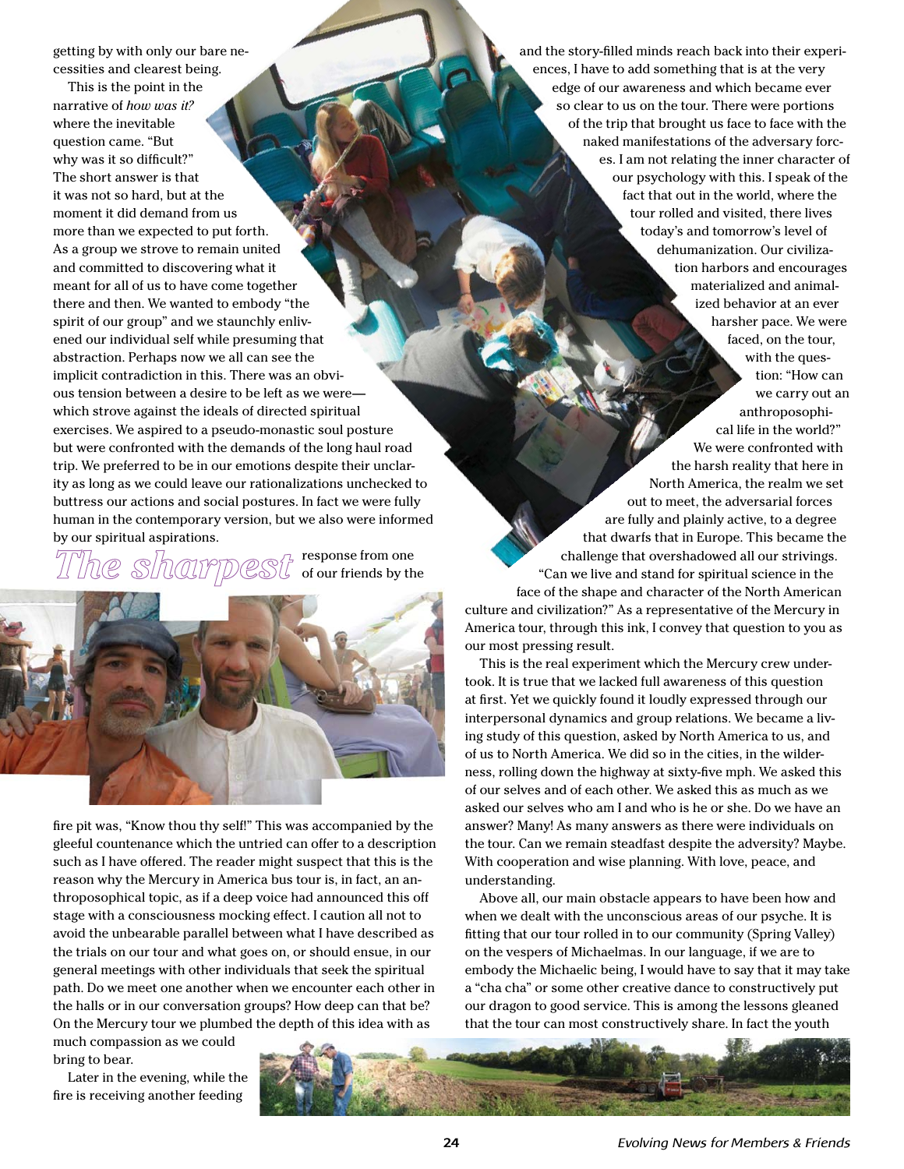getting by with only our bare necessities and clearest being.

This is the point in the narrative of *how was it?* where the inevitable question came. "But why was it so difficult?" The short answer is that it was not so hard, but at the moment it did demand from us more than we expected to put forth. As a group we strove to remain united and committed to discovering what it meant for all of us to have come together there and then. We wanted to embody "the spirit of our group" and we staunchly enlivened our individual self while presuming that abstraction. Perhaps now we all can see the implicit contradiction in this. There was an obvious tension between a desire to be left as we were which strove against the ideals of directed spiritual exercises. We aspired to a pseudo-monastic soul posture but were confronted with the demands of the long haul road trip. We preferred to be in our emotions despite their unclarity as long as we could leave our rationalizations unchecked to buttress our actions and social postures. In fact we were fully human in the contemporary version, but we also were informed by our spiritual aspirations.

response from one of our friends by the



fire pit was, "Know thou thy self!" This was accompanied by the gleeful countenance which the untried can offer to a description such as I have offered. The reader might suspect that this is the reason why the Mercury in America bus tour is, in fact, an anthroposophical topic, as if a deep voice had announced this off stage with a consciousness mocking effect. I caution all not to avoid the unbearable parallel between what I have described as the trials on our tour and what goes on, or should ensue, in our general meetings with other individuals that seek the spiritual path. Do we meet one another when we encounter each other in the halls or in our conversation groups? How deep can that be? On the Mercury tour we plumbed the depth of this idea with as

much compassion as we could bring to bear.

Later in the evening, while the fire is receiving another feeding

and the story-filled minds reach back into their experiences, I have to add something that is at the very edge of our awareness and which became ever so clear to us on the tour. There were portions of the trip that brought us face to face with the naked manifestations of the adversary forces. I am not relating the inner character of our psychology with this. I speak of the fact that out in the world, where the tour rolled and visited, there lives today's and tomorrow's level of dehumanization. Our civilization harbors and encourages materialized and animalized behavior at an ever harsher pace. We were faced, on the tour, with the question: "How can we carry out an anthroposophical life in the world?" We were confronted with the harsh reality that here in

North America, the realm we set out to meet, the adversarial forces are fully and plainly active, to a degree that dwarfs that in Europe. This became the challenge that overshadowed all our strivings. "Can we live and stand for spiritual science in the face of the shape and character of the North American culture and civilization?" As a representative of the Mercury in America tour, through this ink, I convey that question to you as our most pressing result.

This is the real experiment which the Mercury crew undertook. It is true that we lacked full awareness of this question at first. Yet we quickly found it loudly expressed through our interpersonal dynamics and group relations. We became a living study of this question, asked by North America to us, and of us to North America. We did so in the cities, in the wilderness, rolling down the highway at sixty-five mph. We asked this of our selves and of each other. We asked this as much as we asked our selves who am I and who is he or she. Do we have an answer? Many! As many answers as there were individuals on the tour. Can we remain steadfast despite the adversity? Maybe. With cooperation and wise planning. With love, peace, and understanding.

Above all, our main obstacle appears to have been how and when we dealt with the unconscious areas of our psyche. It is fitting that our tour rolled in to our community (Spring Valley) on the vespers of Michaelmas. In our language, if we are to embody the Michaelic being, I would have to say that it may take a "cha cha" or some other creative dance to constructively put our dragon to good service. This is among the lessons gleaned that the tour can most constructively share. In fact the youth